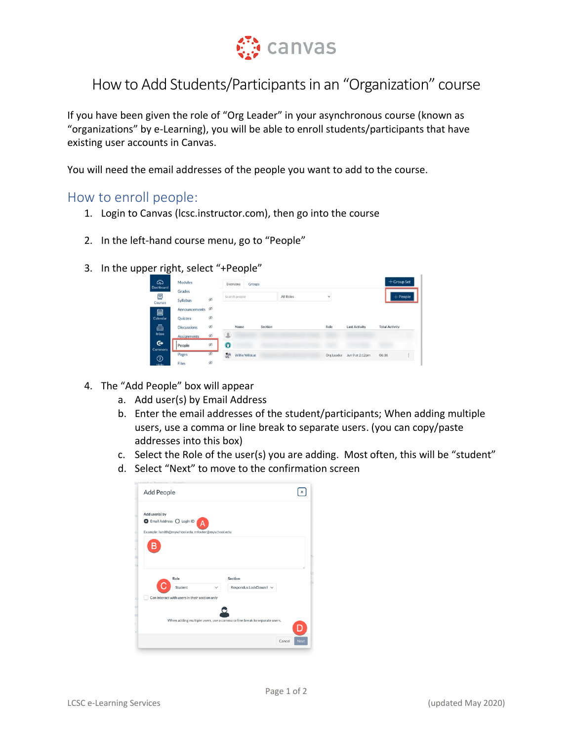

## How to Add Students/Participants in an "Organization" course

If you have been given the role of "Org Leader" in your asynchronous course (known as "organizations" by e-Learning), you will be able to enroll students/participants that have existing user accounts in Canvas.

You will need the email addresses of the people you want to add to the course.

## How to enroll people:

- 1. Login to Canvas (lcsc.instructor.com), then go into the course
- 2. In the left-hand course menu, go to "People"
- 3. In the upper right, select "+People"

| ෬<br>Dashboard      | Modules            | Everyone<br>Groups |   |                       |         |           |              |                      | $+$ Group Set         |  |
|---------------------|--------------------|--------------------|---|-----------------------|---------|-----------|--------------|----------------------|-----------------------|--|
| Ξ.<br>Courses       | Grades<br>Syllabus | $\otimes$          |   | Search people         |         | All Roles | $\checkmark$ |                      | $+$ People            |  |
| 圖                   | Announcements      | $\otimes$          |   |                       |         |           |              |                      |                       |  |
| Calendar            | Quizzes            | ø                  |   |                       |         |           |              |                      |                       |  |
| 画                   | <b>Discussions</b> | B                  |   | Name                  | Section |           | Role         | <b>Last Activity</b> | <b>Total Activity</b> |  |
| Inbox               | <b>Assignments</b> | $\otimes$          | 오 |                       |         |           |              |                      |                       |  |
| ⊶<br><b>Commons</b> | People             | $\otimes$          | o |                       |         |           |              |                      |                       |  |
| ⊚                   | Pages              | Ø                  | 望 | <b>Willie Wildcat</b> |         |           | Org Leader   | Jun 9 at 2:12pm      | 06:36                 |  |
| Help.               | Files              | $\otimes$          |   |                       |         |           |              |                      |                       |  |

- 4. The "Add People" box will appear
	- a. Add user(s) by Email Address
	- b. Enter the email addresses of the student/participants; When adding multiple users, use a comma or line break to separate users. (you can copy/paste addresses into this box)
	- c. Select the Role of the user(s) you are adding. Most often, this will be "student"
	- d. Select "Next" to move to the confirmation screen

| Add People               |                                                    |                                                                          |  |
|--------------------------|----------------------------------------------------|--------------------------------------------------------------------------|--|
| Add user(s) by           |                                                    |                                                                          |  |
| Email Address O Login ID | А                                                  |                                                                          |  |
|                          | Example: Ismith@myschool.edu, mfoster@myschool.edu |                                                                          |  |
|                          |                                                    |                                                                          |  |
|                          |                                                    |                                                                          |  |
|                          |                                                    |                                                                          |  |
|                          | Role                                               | Section                                                                  |  |
|                          | Student                                            | Respondus LockDown E $\vee$                                              |  |
|                          | Can interact with users in their section only      |                                                                          |  |
|                          |                                                    |                                                                          |  |
|                          |                                                    | When adding multiple users, use a comma or line break to separate users. |  |
|                          |                                                    |                                                                          |  |
|                          |                                                    |                                                                          |  |